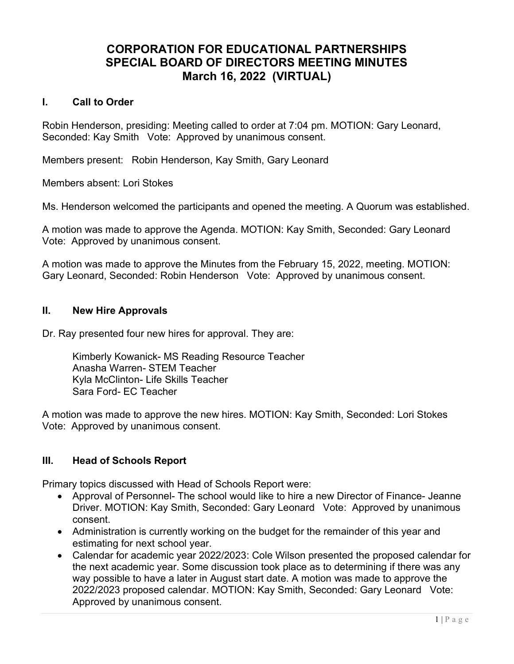# CORPORATION FOR EDUCATIONAL PARTNERSHIPS SPECIAL BOARD OF DIRECTORS MEETING MINUTES March 16, 2022 (VIRTUAL)

#### I. Call to Order

Robin Henderson, presiding: Meeting called to order at 7:04 pm. MOTION: Gary Leonard, Seconded: Kay Smith Vote: Approved by unanimous consent.

Members present: Robin Henderson, Kay Smith, Gary Leonard

Members absent: Lori Stokes

Ms. Henderson welcomed the participants and opened the meeting. A Quorum was established.

A motion was made to approve the Agenda. MOTION: Kay Smith, Seconded: Gary Leonard Vote: Approved by unanimous consent.

A motion was made to approve the Minutes from the February 15, 2022, meeting. MOTION: Gary Leonard, Seconded: Robin Henderson Vote: Approved by unanimous consent.

### II. New Hire Approvals

Dr. Ray presented four new hires for approval. They are:

Kimberly Kowanick- MS Reading Resource Teacher Anasha Warren- STEM Teacher Kyla McClinton- Life Skills Teacher Sara Ford- EC Teacher

A motion was made to approve the new hires. MOTION: Kay Smith, Seconded: Lori Stokes Vote: Approved by unanimous consent.

### III. Head of Schools Report

Primary topics discussed with Head of Schools Report were:

- Approval of Personnel- The school would like to hire a new Director of Finance- Jeanne Driver. MOTION: Kay Smith, Seconded: Gary Leonard Vote: Approved by unanimous consent.
- Administration is currently working on the budget for the remainder of this year and estimating for next school year.
- Calendar for academic year 2022/2023: Cole Wilson presented the proposed calendar for the next academic year. Some discussion took place as to determining if there was any way possible to have a later in August start date. A motion was made to approve the 2022/2023 proposed calendar. MOTION: Kay Smith, Seconded: Gary Leonard Vote: Approved by unanimous consent.